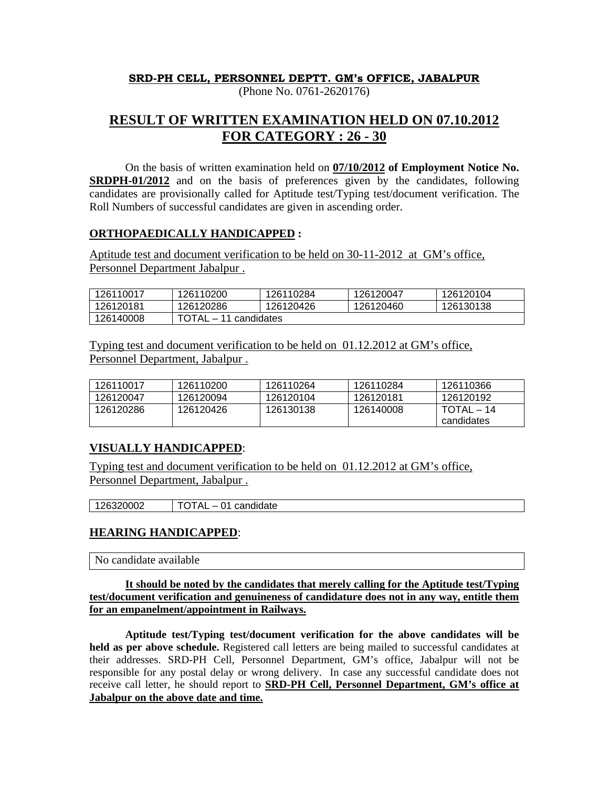## **SRD-PH CELL, PERSONNEL DEPTT. GM's OFFICE, JABALPUR**

(Phone No. 0761-2620176)

# **RESULT OF WRITTEN EXAMINATION HELD ON 07.10.2012 FOR CATEGORY : 26 - 30**

 On the basis of written examination held on **07/10/2012 of Employment Notice No. SRDPH-01/2012** and on the basis of preferences given by the candidates, following candidates are provisionally called for Aptitude test/Typing test/document verification. The Roll Numbers of successful candidates are given in ascending order.

#### **ORTHOPAEDICALLY HANDICAPPED :**

Aptitude test and document verification to be held on 30-11-2012 at GM's office, Personnel Department Jabalpur .

| 126110017 | 126110200                                                   | 126110284 | 126120047 | 126120104 |  |
|-----------|-------------------------------------------------------------|-----------|-----------|-----------|--|
| 126120181 | 126120286                                                   | 126120426 | 126120460 | 126130138 |  |
| 126140008 | <b>TOTAL</b><br>· 11 candidates<br>$\overline{\phantom{0}}$ |           |           |           |  |

Typing test and document verification to be held on 01.12.2012 at GM's office, Personnel Department, Jabalpur .

| 126110017 | 126110200 | 126110264 | 126110284 | 126110366  |
|-----------|-----------|-----------|-----------|------------|
| 126120047 | 126120094 | 126120104 | 126120181 | 126120192  |
| 126120286 | 126120426 | 126130138 | 126140008 | TOTAL – 14 |
|           |           |           |           | candidates |

### **VISUALLY HANDICAPPED**:

Typing test and document verification to be held on 01.12.2012 at GM's office, Personnel Department, Jabalpur .

126320002 TOTAL – 01 candidate

### **HEARING HANDICAPPED**:

No candidate available

#### **It should be noted by the candidates that merely calling for the Aptitude test/Typing test/document verification and genuineness of candidature does not in any way, entitle them for an empanelment/appointment in Railways.**

 **Aptitude test/Typing test/document verification for the above candidates will be held as per above schedule.** Registered call letters are being mailed to successful candidates at their addresses. SRD-PH Cell, Personnel Department, GM's office, Jabalpur will not be responsible for any postal delay or wrong delivery. In case any successful candidate does not receive call letter, he should report to **SRD-PH Cell, Personnel Department, GM's office at Jabalpur on the above date and time.**